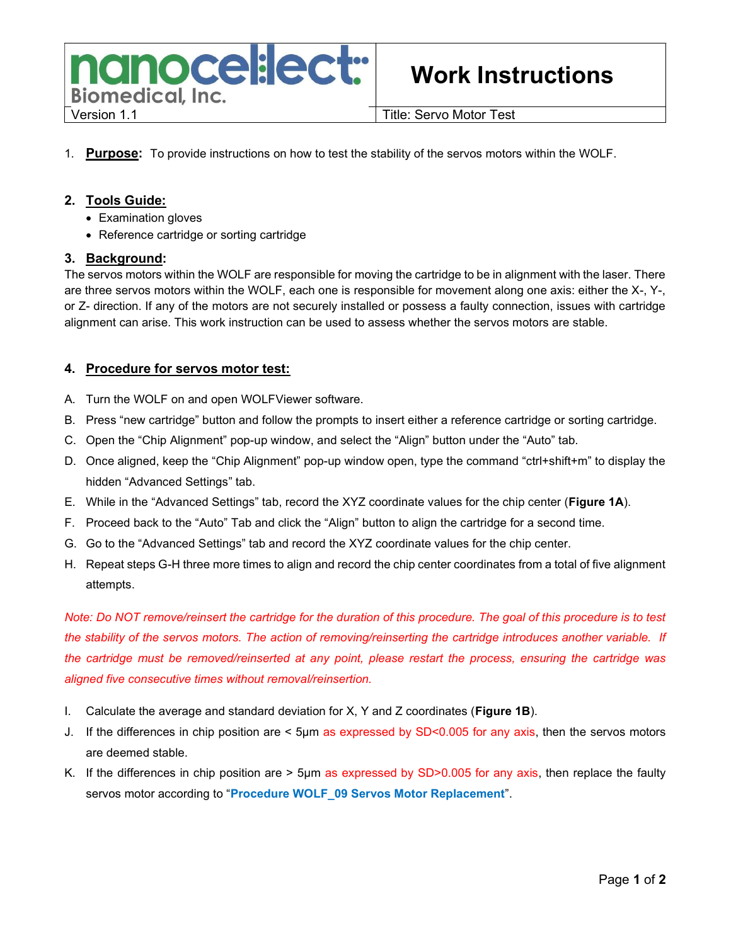

# Work Instructions

1. Purpose: To provide instructions on how to test the stability of the servos motors within the WOLF.

### 2. Tools Guide:

- Examination gloves
- Reference cartridge or sorting cartridge

#### 3. Background:

The servos motors within the WOLF are responsible for moving the cartridge to be in alignment with the laser. There are three servos motors within the WOLF, each one is responsible for movement along one axis: either the X-, Y-, or Z- direction. If any of the motors are not securely installed or possess a faulty connection, issues with cartridge alignment can arise. This work instruction can be used to assess whether the servos motors are stable.

#### 4. Procedure for servos motor test:

- A. Turn the WOLF on and open WOLFViewer software.
- B. Press "new cartridge" button and follow the prompts to insert either a reference cartridge or sorting cartridge.
- C. Open the "Chip Alignment" pop-up window, and select the "Align" button under the "Auto" tab.
- D. Once aligned, keep the "Chip Alignment" pop-up window open, type the command "ctrl+shift+m" to display the hidden "Advanced Settings" tab.
- E. While in the "Advanced Settings" tab, record the XYZ coordinate values for the chip center (Figure 1A).
- F. Proceed back to the "Auto" Tab and click the "Align" button to align the cartridge for a second time.
- G. Go to the "Advanced Settings" tab and record the XYZ coordinate values for the chip center.
- H. Repeat steps G-H three more times to align and record the chip center coordinates from a total of five alignment attempts.

Note: Do NOT remove/reinsert the cartridge for the duration of this procedure. The goal of this procedure is to test the stability of the servos motors. The action of removing/reinserting the cartridge introduces another variable. If the cartridge must be removed/reinserted at any point, please restart the process, ensuring the cartridge was aligned five consecutive times without removal/reinsertion.

- I. Calculate the average and standard deviation for  $X$ , Y and Z coordinates (**Figure 1B**).
- J. If the differences in chip position are < 5µm as expressed by SD<0.005 for any axis, then the servos motors are deemed stable.
- K. If the differences in chip position are > 5µm as expressed by SD>0.005 for any axis, then replace the faulty servos motor according to "Procedure WOLF\_09 Servos Motor Replacement".